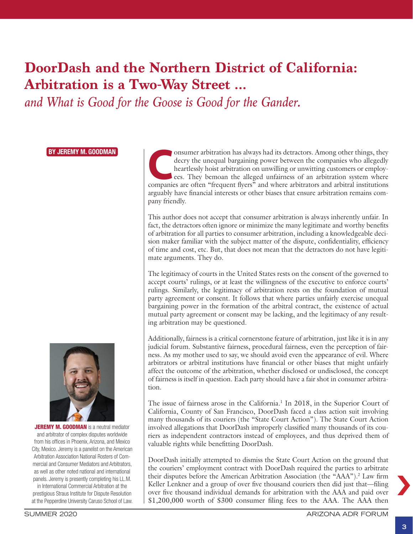## **DoorDash and the Northern District of California: Arbitration is a Two-Way Street …**

*and What is Good for the Goose is Good for the Gander.*

## BY JEREMY M. GOODMAN



**JEREMY M. GOODMAN** is a neutral mediator and arbitrator of complex disputes worldwide from his offices in Phoenix, Arizona, and Mexico City, Mexico. Jeremy is a panelist on the American Arbitration Association National Rosters of Commercial and Consumer Mediators and Arbitrators, as well as other noted national and international panels. Jeremy is presently completing his LL.M. in International Commercial Arbitration at the

prestigious Straus Institute for Dispute Resolution at the Pepperdine University Caruso School of Law.

**CONSUMER CONSUMER AND MORE CONSUMPTED AREA CONSUMPTED AS A deterated by heartlessly hoist arbitration on unwilling or unwitting customers or employ-<br>ees. They bemoan the alleged unfairness of an arbitration system where<br>c** decry the unequal bargaining power between the companies who allegedly heartlessly hoist arbitration on unwilling or unwitting customers or employees. They bemoan the alleged unfairness of an arbitration system where arguably have financial interests or other biases that ensure arbitration remains company friendly.

This author does not accept that consumer arbitration is always inherently unfair. In fact, the detractors often ignore or minimize the many legitimate and worthy benefits of arbitration for all parties to consumer arbitration, including a knowledgeable decision maker familiar with the subject matter of the dispute, confidentiality, efficiency of time and cost, etc. But, that does not mean that the detractors do not have legitimate arguments. They do.

The legitimacy of courts in the United States rests on the consent of the governed to accept courts' rulings, or at least the willingness of the executive to enforce courts' rulings. Similarly, the legitimacy of arbitration rests on the foundation of mutual party agreement or consent. It follows that where parties unfairly exercise unequal bargaining power in the formation of the arbitral contract, the existence of actual mutual party agreement or consent may be lacking, and the legitimacy of any resulting arbitration may be questioned.

Additionally, fairness is a critical cornerstone feature of arbitration, just like it is in any judicial forum. Substantive fairness, procedural fairness, even the perception of fairness. As my mother used to say, we should avoid even the appearance of evil. Where arbitrators or arbitral institutions have financial or other biases that might unfairly affect the outcome of the arbitration, whether disclosed or undisclosed, the concept of fairness is itself in question. Each party should have a fair shot in consumer arbitration.

The issue of fairness arose in the California.<sup>1</sup> In 2018, in the Superior Court of California, County of San Francisco, DoorDash faced a class action suit involving many thousands of its couriers (the "State Court Action"). The State Court Action involved allegations that DoorDash improperly classified many thousands of its couriers as independent contractors instead of employees, and thus deprived them of valuable rights while benefitting DoorDash.

DoorDash initially attempted to dismiss the State Court Action on the ground that the couriers' employment contract with DoorDash required the parties to arbitrate their disputes before the American Arbitration Association (the "AAA").<sup>2</sup> Law firm Keller Lenkner and a group of over five thousand couriers then did just that—filing over five thousand individual demands for arbitration with the AAA and paid over \$1,200,000 worth of \$300 consumer filing fees to the AAA. The AAA then

›